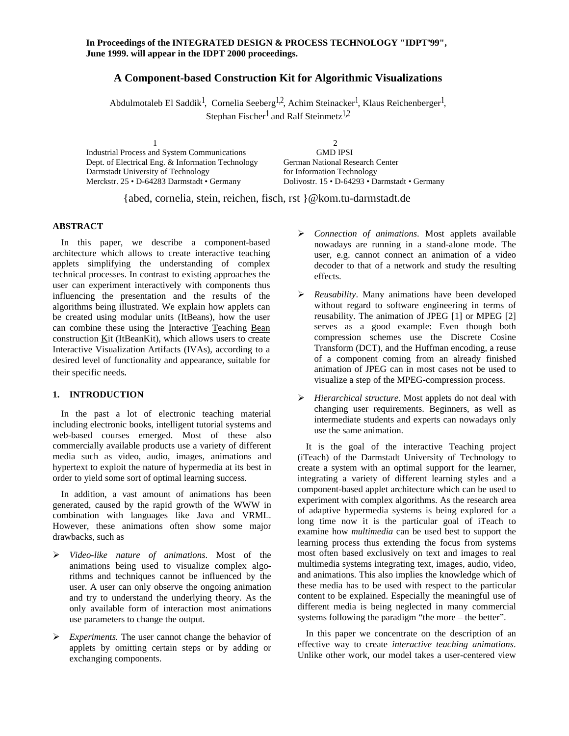# **A Component-based Construction Kit for Algorithmic Visualizations**

Abdulmotaleb El Saddik<sup>1</sup>, Cornelia Seeberg<sup>1,2</sup>, Achim Steinacker<sup>1</sup>, Klaus Reichenberger<sup>1</sup>, Stephan Fischer<sup>1</sup> and Ralf Steinmetz<sup>1,2</sup>

1 2 Industrial Process and System Communications GMD IPSI Dept. of Electrical Eng. & Information Technology German National Research Center Darmstadt University of Technology for Information Technology<br>Merckstr. 25 • D-64283 Darmstadt • Germany Dolivostr. 15 • D-64293 • D Dolivostr. 15 • D-64293 • Darmstadt • Germany

{abed, cornelia, stein, reichen, fisch, rst }@kom.tu-darmstadt.de

## **ABSTRACT**

In this paper, we describe a component-based architecture which allows to create interactive teaching applets simplifying the understanding of complex technical processes. In contrast to existing approaches the user can experiment interactively with components thus influencing the presentation and the results of the algorithms being illustrated. We explain how applets can be created using modular units (ItBeans), how the user can combine these using the Interactive Teaching Bean construction Kit (ItBeanKit), which allows users to create Interactive Visualization Artifacts (IVAs), according to a desired level of functionality and appearance, suitable for their specific needs*.*

### **1. INTRODUCTION**

In the past a lot of electronic teaching material including electronic books, intelligent tutorial systems and web-based courses emerged. Most of these also commercially available products use a variety of different media such as video, audio, images, animations and hypertext to exploit the nature of hypermedia at its best in order to yield some sort of optimal learning success.

In addition, a vast amount of animations has been generated, caused by the rapid growth of the WWW in combination with languages like Java and VRML. However, these animations often show some major drawbacks, such as

- *Video-like nature of animations*. Most of the animations being used to visualize complex algorithms and techniques cannot be influenced by the user. A user can only observe the ongoing animation and try to understand the underlying theory. As the only available form of interaction most animations use parameters to change the output.
- *Experiments.* The user cannot change the behavior of applets by omitting certain steps or by adding or exchanging components.
- *Connection of animations*. Most applets available nowadays are running in a stand-alone mode. The user, e.g. cannot connect an animation of a video decoder to that of a network and study the resulting effects.
- *Reusability*. Many animations have been developed without regard to software engineering in terms of reusability. The animation of JPEG [1] or MPEG [2] serves as a good example: Even though both compression schemes use the Discrete Cosine Transform (DCT), and the Huffman encoding, a reuse of a component coming from an already finished animation of JPEG can in most cases not be used to visualize a step of the MPEG-compression process.
- *Hierarchical structure.* Most applets do not deal with changing user requirements. Beginners, as well as intermediate students and experts can nowadays only use the same animation.

It is the goal of the interactive Teaching project (iTeach) of the Darmstadt University of Technology to create a system with an optimal support for the learner, integrating a variety of different learning styles and a component-based applet architecture which can be used to experiment with complex algorithms. As the research area of adaptive hypermedia systems is being explored for a long time now it is the particular goal of iTeach to examine how *multimedia* can be used best to support the learning process thus extending the focus from systems most often based exclusively on text and images to real multimedia systems integrating text, images, audio, video, and animations. This also implies the knowledge which of these media has to be used with respect to the particular content to be explained. Especially the meaningful use of different media is being neglected in many commercial systems following the paradigm "the more – the better".

In this paper we concentrate on the description of an effective way to create *interactive teaching animations*. Unlike other work, our model takes a user-centered view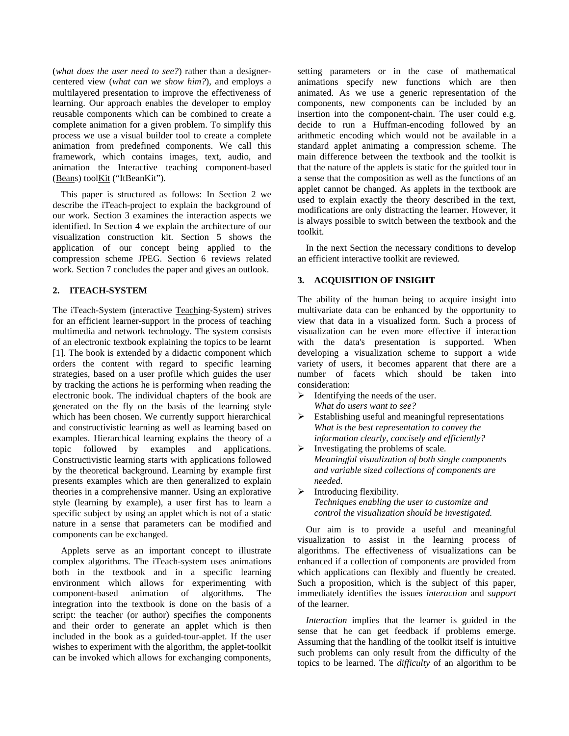(*what does the user need to see?*) rather than a designercentered view (*what can we show him?*), and employs a multilayered presentation to improve the effectiveness of learning. Our approach enables the developer to employ reusable components which can be combined to create a complete animation for a given problem. To simplify this process we use a visual builder tool to create a complete animation from predefined components. We call this framework, which contains images, text, audio, and animation the Interactive teaching component-based (Beans) toolKit ("ItBeanKit").

This paper is structured as follows: In Section 2 we describe the iTeach-project to explain the background of our work. Section 3 examines the interaction aspects we identified. In Section 4 we explain the architecture of our visualization construction kit. Section 5 shows the application of our concept being applied to the compression scheme JPEG. Section 6 reviews related work. Section 7 concludes the paper and gives an outlook.

# **2. ITEACH-SYSTEM**

The iTeach-System (interactive Teaching-System) strives for an efficient learner-support in the process of teaching multimedia and network technology. The system consists of an electronic textbook explaining the topics to be learnt [1]. The book is extended by a didactic component which orders the content with regard to specific learning strategies, based on a user profile which guides the user by tracking the actions he is performing when reading the electronic book. The individual chapters of the book are generated on the fly on the basis of the learning style which has been chosen. We currently support hierarchical and constructivistic learning as well as learning based on examples. Hierarchical learning explains the theory of a topic followed by examples and applications. Constructivistic learning starts with applications followed by the theoretical background. Learning by example first presents examples which are then generalized to explain theories in a comprehensive manner. Using an explorative style (learning by example), a user first has to learn a specific subject by using an applet which is not of a static nature in a sense that parameters can be modified and components can be exchanged.

Applets serve as an important concept to illustrate complex algorithms. The iTeach-system uses animations both in the textbook and in a specific learning environment which allows for experimenting with component-based animation of algorithms. The integration into the textbook is done on the basis of a script: the teacher (or author) specifies the components and their order to generate an applet which is then included in the book as a guided-tour-applet. If the user wishes to experiment with the algorithm, the applet-toolkit can be invoked which allows for exchanging components,

setting parameters or in the case of mathematical animations specify new functions which are then animated. As we use a generic representation of the components, new components can be included by an insertion into the component-chain. The user could e.g. decide to run a Huffman-encoding followed by an arithmetic encoding which would not be available in a standard applet animating a compression scheme. The main difference between the textbook and the toolkit is that the nature of the applets is static for the guided tour in a sense that the composition as well as the functions of an applet cannot be changed. As applets in the textbook are used to explain exactly the theory described in the text, modifications are only distracting the learner. However, it is always possible to switch between the textbook and the toolkit.

In the next Section the necessary conditions to develop an efficient interactive toolkit are reviewed.

## **3. ACQUISITION OF INSIGHT**

The ability of the human being to acquire insight into multivariate data can be enhanced by the opportunity to view that data in a visualized form. Such a process of visualization can be even more effective if interaction with the data's presentation is supported. When developing a visualization scheme to support a wide variety of users, it becomes apparent that there are a number of facets which should be taken into consideration:

- $\triangleright$  Identifying the needs of the user.
- *What do users want to see?*  $\triangleright$  Establishing useful and meaningful representations *What is the best representation to convey the information clearly, concisely and efficiently?*
- Investigating the problems of scale*. Meaningful visualization of both single components and variable sized collections of components are needed.*
- Introducing flexibility*. Techniques enabling the user to customize and control the visualization should be investigated.*

Our aim is to provide a useful and meaningful visualization to assist in the learning process of algorithms. The effectiveness of visualizations can be enhanced if a collection of components are provided from which applications can flexibly and fluently be created. Such a proposition, which is the subject of this paper, immediately identifies the issues *interaction* and *support* of the learner.

*Interaction* implies that the learner is guided in the sense that he can get feedback if problems emerge. Assuming that the handling of the toolkit itself is intuitive such problems can only result from the difficulty of the topics to be learned. The *difficulty* of an algorithm to be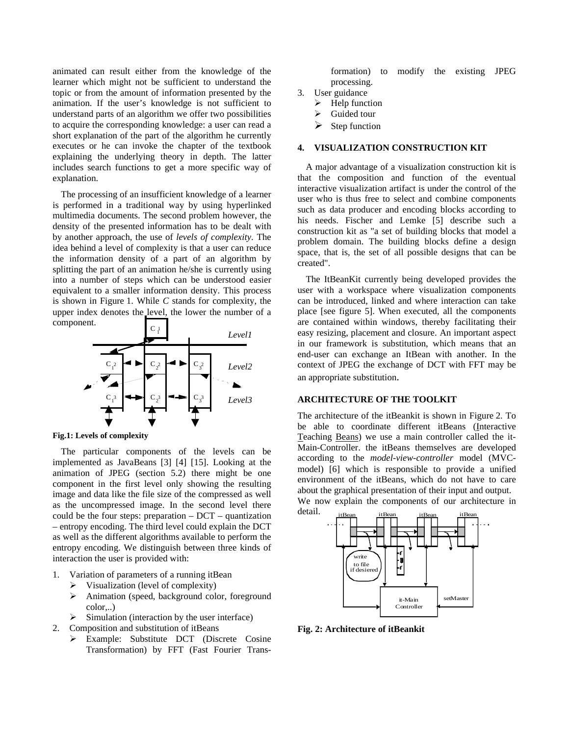animated can result either from the knowledge of the learner which might not be sufficient to understand the topic or from the amount of information presented by the animation. If the user's knowledge is not sufficient to understand parts of an algorithm we offer two possibilities to acquire the corresponding knowledge: a user can read a short explanation of the part of the algorithm he currently executes or he can invoke the chapter of the textbook explaining the underlying theory in depth. The latter includes search functions to get a more specific way of explanation.

The processing of an insufficient knowledge of a learner is performed in a traditional way by using hyperlinked multimedia documents. The second problem however, the density of the presented information has to be dealt with by another approach, the use of *levels of complexity*. The idea behind a level of complexity is that a user can reduce the information density of a part of an algorithm by splitting the part of an animation he/she is currently using into a number of steps which can be understood easier equivalent to a smaller information density. This process is shown in Figure 1. While *C* stands for complexity, the upper index denotes the level, the lower the number of a component.



**Fig.1: Levels of complexity**

The particular components of the levels can be implemented as JavaBeans [3] [4] [15]. Looking at the animation of JPEG (section 5.2) there might be one component in the first level only showing the resulting image and data like the file size of the compressed as well as the uncompressed image. In the second level there could be the four steps: preparation – DCT – quantization – entropy encoding. The third level could explain the DCT as well as the different algorithms available to perform the entropy encoding. We distinguish between three kinds of interaction the user is provided with:

- 1. Variation of parameters of a running itBean
	- $\triangleright$  Visualization (level of complexity)
	- Animation (speed, background color, foreground color,..)
	- $\triangleright$  Simulation (interaction by the user interface)
- 2. Composition and substitution of itBeans
	- Example: Substitute DCT (Discrete Cosine Transformation) by FFT (Fast Fourier Trans-

| formation) to modify the existing JPEG |  |  |  |
|----------------------------------------|--|--|--|
| processing.                            |  |  |  |

- 3. User guidance
	- Help function
	- Guided tour
	- Step function

### **4. VISUALIZATION CONSTRUCTION KIT**

A major advantage of a visualization construction kit is that the composition and function of the eventual interactive visualization artifact is under the control of the user who is thus free to select and combine components such as data producer and encoding blocks according to his needs. Fischer and Lemke [5] describe such a construction kit as "a set of building blocks that model a problem domain. The building blocks define a design space, that is, the set of all possible designs that can be created".

The ItBeanKit currently being developed provides the user with a workspace where visualization components can be introduced, linked and where interaction can take place [see figure 5]. When executed, all the components are contained within windows, thereby facilitating their easy resizing, placement and closure. An important aspect in our framework is substitution, which means that an end-user can exchange an ItBean with another. In the context of JPEG the exchange of DCT with FFT may be an appropriate substitution.

## **ARCHITECTURE OF THE TOOLKIT**

The architecture of the itBeankit is shown in Figure 2. To be able to coordinate different itBeans (Interactive Teaching Beans) we use a main controller called the it-Main-Controller. the itBeans themselves are developed according to the *model-view-controller* model (MVCmodel) [6] which is responsible to provide a unified environment of the itBeans, which do not have to care about the graphical presentation of their input and output. We now explain the components of our architecture in detail.



**Fig. 2: Architecture of itBeankit**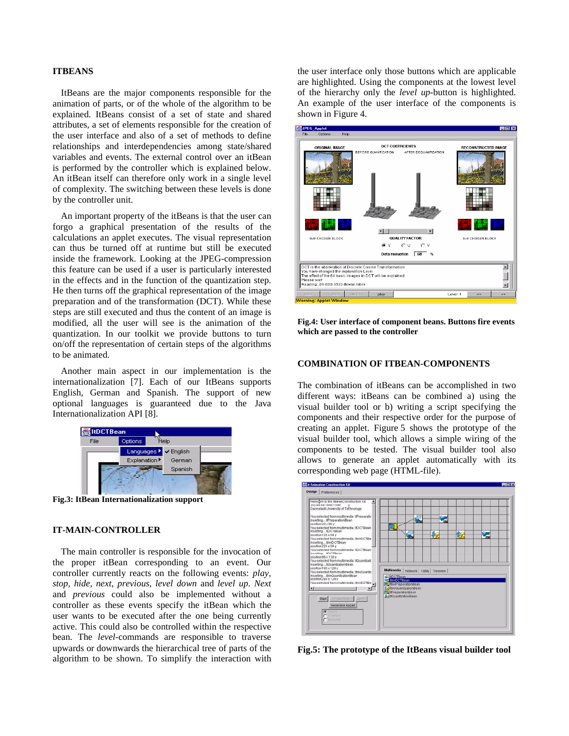#### **ITBEANS**

ItBeans are the major components responsible for the animation of parts, or of the whole of the algorithm to be explained. ItBeans consist of a set of state and shared attributes, a set of elements responsible for the creation of the user interface and also of a set of methods to define relationships and interdependencies among state/shared variables and events. The external control over an itBean is performed by the controller which is explained below. An itBean itself can therefore only work in a single level of complexity. The switching between these levels is done by the controller unit.

An important property of the itBeans is that the user can forgo a graphical presentation of the results of the calculations an applet executes. The visual representation can thus be turned off at runtime but still be executed inside the framework. Looking at the JPEG-compression this feature can be used if a user is particularly interested in the effects and in the function of the quantization step. He then turns off the graphical representation of the image preparation and of the transformation (DCT). While these steps are still executed and thus the content of an image is modified, all the user will see is the animation of the quantization. In our toolkit we provide buttons to turn on/off the representation of certain steps of the algorithms to be animated.

Another main aspect in our implementation is the internationalization [7]. Each of our ItBeans supports English, German and Spanish. The support of new optional languages is guaranteed due to the Java Internationalization API [8].



**Fig.3: ItBean Internationalization support**

#### **IT-MAIN-CONTROLLER**

The main controller is responsible for the invocation of the proper itBean corresponding to an event. Our controller currently reacts on the following events: *play, stop, hide, next*, *previous*, *level down* and *level up*. *Next* and *previous* could also be implemented without a controller as these events specify the itBean which the user wants to be executed after the one being currently active. This could also be controlled within the respective bean. The *level*-commands are responsible to traverse upwards or downwards the hierarchical tree of parts of the algorithm to be shown. To simplify the interaction with

the user interface only those buttons which are applicable are highlighted. Using the components at the lowest level of the hierarchy only the *level up*-button is highlighted. An example of the user interface of the components is shown in Figure 4.



**Fig.4: User interface of component beans. Buttons fire events which are passed to the controller**

## **COMBINATION OF ITBEAN-COMPONENTS**

The combination of itBeans can be accomplished in two different ways: itBeans can be combined a) using the visual builder tool or b) writing a script specifying the components and their respective order for the purpose of creating an applet. Figure 5 shows the prototype of the visual builder tool, which allows a simple wiring of the components to be tested. The visual builder tool also allows to generate an applet automatically with its corresponding web page (HTML-file).



**Fig.5: The prototype of the ItBeans visual builder tool**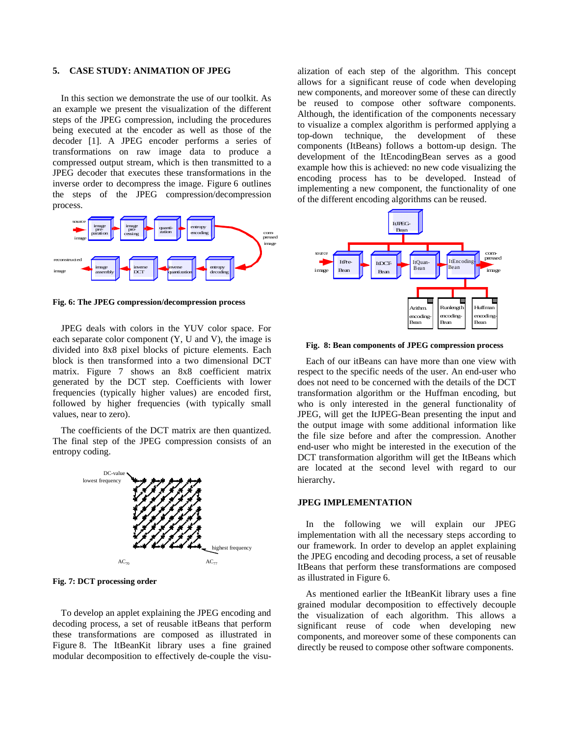#### **5. CASE STUDY: ANIMATION OF JPEG**

In this section we demonstrate the use of our toolkit. As an example we present the visualization of the different steps of the JPEG compression, including the procedures being executed at the encoder as well as those of the decoder [1]. A JPEG encoder performs a series of transformations on raw image data to produce a compressed output stream, which is then transmitted to a JPEG decoder that executes these transformations in the inverse order to decompress the image. Figure 6 outlines the steps of the JPEG compression/decompression process.



**Fig. 6: The JPEG compression/decompression process**

JPEG deals with colors in the YUV color space. For each separate color component (Y, U and V), the image is divided into 8x8 pixel blocks of picture elements. Each block is then transformed into a two dimensional DCT matrix. Figure 7 shows an 8x8 coefficient matrix generated by the DCT step. Coefficients with lower frequencies (typically higher values) are encoded first, followed by higher frequencies (with typically small values, near to zero).

The coefficients of the DCT matrix are then quantized. The final step of the JPEG compression consists of an entropy coding.



**Fig. 7: DCT processing order**

To develop an applet explaining the JPEG encoding and decoding process, a set of reusable itBeans that perform these transformations are composed as illustrated in Figure 8. The ItBeanKit library uses a fine grained modular decomposition to effectively de-couple the visu-

alization of each step of the algorithm. This concept allows for a significant reuse of code when developing new components, and moreover some of these can directly be reused to compose other software components. Although, the identification of the components necessary to visualize a complex algorithm is performed applying a top-down technique, the development of these components (ItBeans) follows a bottom-up design. The development of the ItEncodingBean serves as a good example how this is achieved: no new code visualizing the encoding process has to be developed. Instead of implementing a new component, the functionality of one of the different encoding algorithms can be reused.



**Fig. 8: Bean components of JPEG compression process**

Each of our itBeans can have more than one view with respect to the specific needs of the user. An end-user who does not need to be concerned with the details of the DCT transformation algorithm or the Huffman encoding, but who is only interested in the general functionality of JPEG, will get the ItJPEG-Bean presenting the input and the output image with some additional information like the file size before and after the compression. Another end-user who might be interested in the execution of the DCT transformation algorithm will get the ItBeans which are located at the second level with regard to our hierarchy.

### **JPEG IMPLEMENTATION**

In the following we will explain our JPEG implementation with all the necessary steps according to our framework. In order to develop an applet explaining the JPEG encoding and decoding process, a set of reusable ItBeans that perform these transformations are composed as illustrated in Figure 6.

As mentioned earlier the ItBeanKit library uses a fine grained modular decomposition to effectively decouple the visualization of each algorithm. This allows a significant reuse of code when developing new components, and moreover some of these components can directly be reused to compose other software components.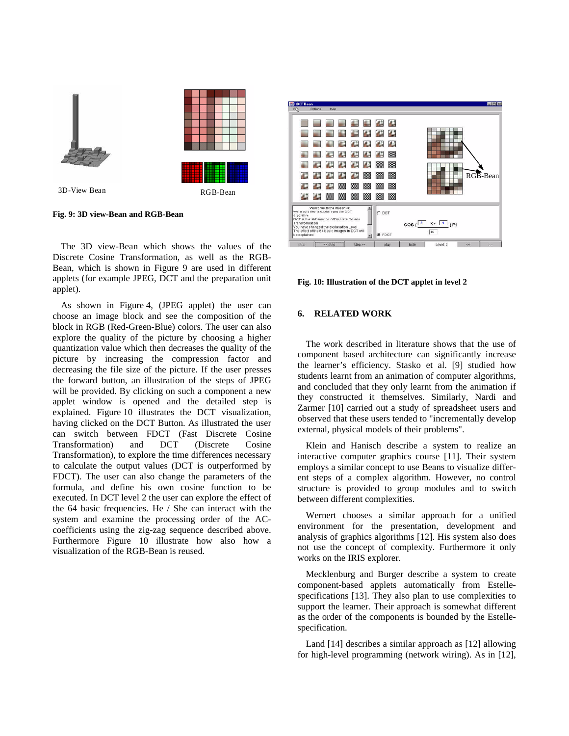

**Fig. 9: 3D view-Bean and RGB-Bean**

The 3D view-Bean which shows the values of the Discrete Cosine Transformation, as well as the RGB-Bean, which is shown in Figure 9 are used in different applets (for example JPEG, DCT and the preparation unit applet).

As shown in Figure 4, (JPEG applet) the user can choose an image block and see the composition of the block in RGB (Red-Green-Blue) colors. The user can also explore the quality of the picture by choosing a higher quantization value which then decreases the quality of the picture by increasing the compression factor and decreasing the file size of the picture. If the user presses the forward button, an illustration of the steps of JPEG will be provided. By clicking on such a component a new applet window is opened and the detailed step is explained. Figure 10 illustrates the DCT visualization, having clicked on the DCT Button. As illustrated the user can switch between FDCT (Fast Discrete Cosine Transformation) and DCT (Discrete Cosine Transformation), to explore the time differences necessary to calculate the output values (DCT is outperformed by FDCT). The user can also change the parameters of the formula, and define his own cosine function to be executed. In DCT level 2 the user can explore the effect of the 64 basic frequencies. He / She can interact with the system and examine the processing order of the ACcoefficients using the zig-zag sequence described above. Furthermore Figure 10 illustrate how also how a visualization of the RGB-Bean is reused.



**Fig. 10: Illustration of the DCT applet in level 2**

#### **6. RELATED WORK**

The work described in literature shows that the use of component based architecture can significantly increase the learner's efficiency. Stasko et al. [9] studied how students learnt from an animation of computer algorithms, and concluded that they only learnt from the animation if they constructed it themselves. Similarly, Nardi and Zarmer [10] carried out a study of spreadsheet users and observed that these users tended to "incrementally develop external, physical models of their problems".

Klein and Hanisch describe a system to realize an interactive computer graphics course [11]. Their system employs a similar concept to use Beans to visualize different steps of a complex algorithm. However, no control structure is provided to group modules and to switch between different complexities.

Wernert chooses a similar approach for a unified environment for the presentation, development and analysis of graphics algorithms [12]. His system also does not use the concept of complexity. Furthermore it only works on the IRIS explorer.

Mecklenburg and Burger describe a system to create component-based applets automatically from Estellespecifications [13]. They also plan to use complexities to support the learner. Their approach is somewhat different as the order of the components is bounded by the Estellespecification.

Land [14] describes a similar approach as [12] allowing for high-level programming (network wiring). As in [12],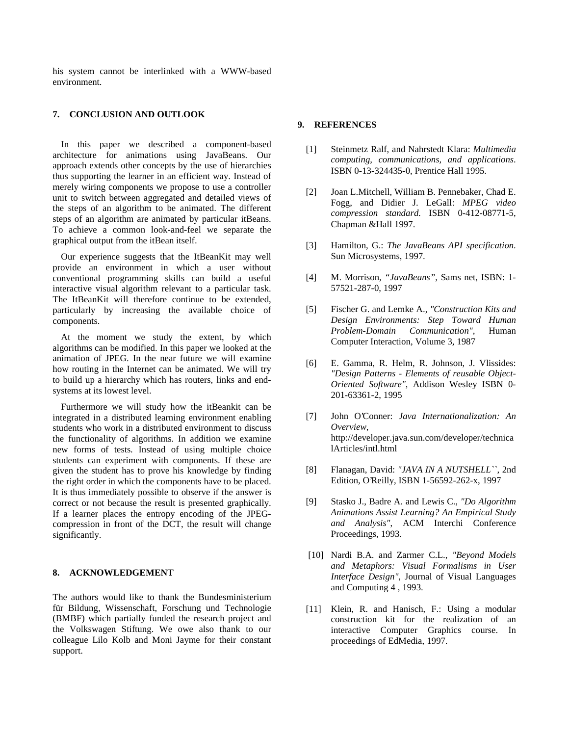his system cannot be interlinked with a WWW-based environment.

### **7. CONCLUSION AND OUTLOOK**

In this paper we described a component-based architecture for animations using JavaBeans. Our approach extends other concepts by the use of hierarchies thus supporting the learner in an efficient way. Instead of merely wiring components we propose to use a controller unit to switch between aggregated and detailed views of the steps of an algorithm to be animated. The different steps of an algorithm are animated by particular itBeans. To achieve a common look-and-feel we separate the graphical output from the itBean itself.

Our experience suggests that the ItBeanKit may well provide an environment in which a user without conventional programming skills can build a useful interactive visual algorithm relevant to a particular task. The ItBeanKit will therefore continue to be extended, particularly by increasing the available choice of components.

At the moment we study the extent, by which algorithms can be modified. In this paper we looked at the animation of JPEG. In the near future we will examine how routing in the Internet can be animated. We will try to build up a hierarchy which has routers, links and endsystems at its lowest level.

Furthermore we will study how the itBeankit can be integrated in a distributed learning environment enabling students who work in a distributed environment to discuss the functionality of algorithms. In addition we examine new forms of tests. Instead of using multiple choice students can experiment with components. If these are given the student has to prove his knowledge by finding the right order in which the components have to be placed. It is thus immediately possible to observe if the answer is correct or not because the result is presented graphically. If a learner places the entropy encoding of the JPEGcompression in front of the DCT, the result will change significantly.

## **8. ACKNOWLEDGEMENT**

The authors would like to thank the Bundesministerium für Bildung, Wissenschaft, Forschung und Technologie (BMBF) which partially funded the research project and the Volkswagen Stiftung. We owe also thank to our colleague Lilo Kolb and Moni Jayme for their constant support.

#### **9. REFERENCES**

- [1] Steinmetz Ralf, and Nahrstedt Klara: *Multimedia computing, communications, and applications*. ISBN 0-13-324435-0, Prentice Hall 1995.
- [2] Joan L.Mitchell, William B. Pennebaker, Chad E. Fogg, and Didier J. LeGall: *MPEG video compression standard.* ISBN 0-412-08771-5, Chapman &Hall 1997.
- [3] Hamilton, G.: *The JavaBeans API specification*. Sun Microsystems, 1997.
- [4] M. Morrison, *"JavaBeans"*, Sams net, ISBN: 1- 57521-287-0, 1997
- [5] Fischer G. and Lemke A., *"Construction Kits and Design Environments: Step Toward Human Problem-Domain Communication",* Human Computer Interaction, Volume 3, 1987
- [6] E. Gamma, R. Helm, R. Johnson, J. Vlissides: *"Design Patterns - Elements of reusable Object-Oriented Software"*, Addison Wesley ISBN 0- 201-63361-2, 1995
- [7] John O'Conner: *Java Internationalization: An Overview*, http://developer.java.sun.com/developer/technica lArticles/intl.html
- [8] Flanagan, David: *"JAVA IN A NUTSHELL``*, 2nd Edition, O'Reilly, ISBN 1-56592-262-x, 1997
- [9] Stasko J., Badre A. and Lewis C., *"Do Algorithm Animations Assist Learning? An Empirical Study and Analysis"*, ACM Interchi Conference Proceedings, 1993.
- [10] Nardi B.A. and Zarmer C.L., *"Beyond Models and Metaphors: Visual Formalisms in User Interface Design"*, Journal of Visual Languages and Computing 4 , 1993.
- [11] Klein, R. and Hanisch, F.: Using a modular construction kit for the realization of an interactive Computer Graphics course. In proceedings of EdMedia, 1997.